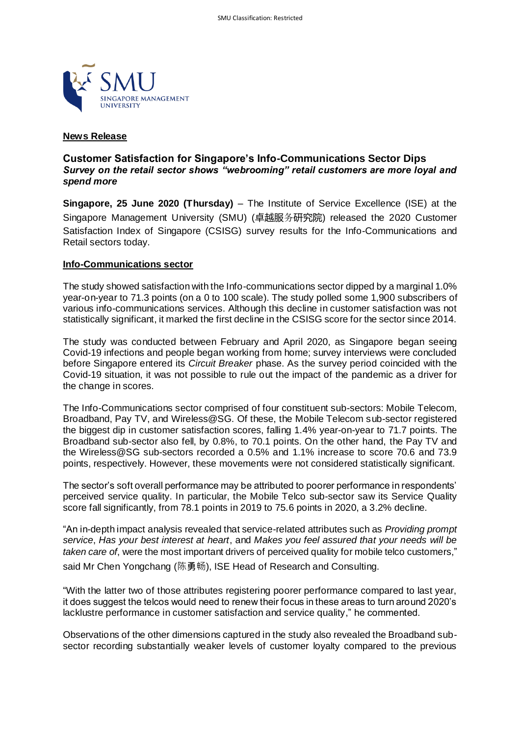

# **News Release**

# **Customer Satisfaction for Singapore's Info-Communications Sector Dips** *Survey on the retail sector shows "webrooming" retail customers are more loyal and spend more*

**Singapore, 25 June 2020 (Thursday)** – The Institute of Service Excellence (ISE) at the Singapore Management University (SMU) (卓越服务研究院) released the 2020 Customer Satisfaction Index of Singapore (CSISG) survey results for the Info-Communications and Retail sectors today.

### **Info-Communications sector**

The study showed satisfaction with the Info-communications sector dipped by a marginal 1.0% year-on-year to 71.3 points (on a 0 to 100 scale). The study polled some 1,900 subscribers of various info-communications services. Although this decline in customer satisfaction was not statistically significant, it marked the first decline in the CSISG score for the sector since 2014.

The study was conducted between February and April 2020, as Singapore began seeing Covid-19 infections and people began working from home; survey interviews were concluded before Singapore entered its *Circuit Breaker* phase. As the survey period coincided with the Covid-19 situation, it was not possible to rule out the impact of the pandemic as a driver for the change in scores.

The Info-Communications sector comprised of four constituent sub-sectors: Mobile Telecom, Broadband, Pay TV, and Wireless@SG. Of these, the Mobile Telecom sub-sector registered the biggest dip in customer satisfaction scores, falling 1.4% year-on-year to 71.7 points. The Broadband sub-sector also fell, by 0.8%, to 70.1 points. On the other hand, the Pay TV and the Wireless@SG sub-sectors recorded a 0.5% and 1.1% increase to score 70.6 and 73.9 points, respectively. However, these movements were not considered statistically significant.

The sector's soft overall performance may be attributed to poorer performance in respondents' perceived service quality. In particular, the Mobile Telco sub-sector saw its Service Quality score fall significantly, from 78.1 points in 2019 to 75.6 points in 2020, a 3.2% decline.

"An in-depth impact analysis revealed that service-related attributes such as *Providing prompt service*, *Has your best interest at heart*, and *Makes you feel assured that your needs will be taken care of*, were the most important drivers of perceived quality for mobile telco customers," said Mr Chen Yongchang (陈勇畅), ISE Head of Research and Consulting.

"With the latter two of those attributes registering poorer performance compared to last year, it does suggest the telcos would need to renew their focus in these areas to turn around 2020's lacklustre performance in customer satisfaction and service quality," he commented.

Observations of the other dimensions captured in the study also revealed the Broadband subsector recording substantially weaker levels of customer loyalty compared to the previous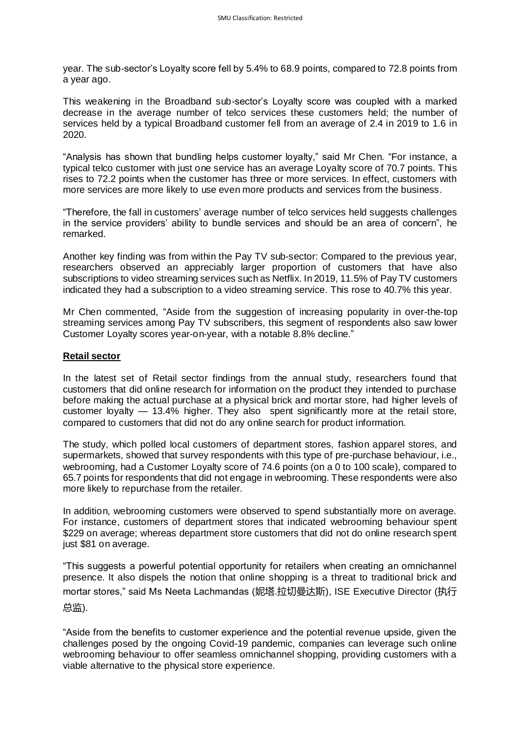year. The sub-sector's Loyalty score fell by 5.4% to 68.9 points, compared to 72.8 points from a year ago.

This weakening in the Broadband sub-sector's Loyalty score was coupled with a marked decrease in the average number of telco services these customers held; the number of services held by a typical Broadband customer fell from an average of 2.4 in 2019 to 1.6 in 2020.

"Analysis has shown that bundling helps customer loyalty," said Mr Chen. "For instance, a typical telco customer with just one service has an average Loyalty score of 70.7 points. This rises to 72.2 points when the customer has three or more services. In effect, customers with more services are more likely to use even more products and services from the business.

"Therefore, the fall in customers' average number of telco services held suggests challenges in the service providers' ability to bundle services and should be an area of concern", he remarked.

Another key finding was from within the Pay TV sub-sector: Compared to the previous year, researchers observed an appreciably larger proportion of customers that have also subscriptions to video streaming services such as Netflix. In 2019, 11.5% of Pay TV customers indicated they had a subscription to a video streaming service. This rose to 40.7% this year.

Mr Chen commented, "Aside from the suggestion of increasing popularity in over-the-top streaming services among Pay TV subscribers, this segment of respondents also saw lower Customer Loyalty scores year-on-year, with a notable 8.8% decline."

### **Retail sector**

In the latest set of Retail sector findings from the annual study, researchers found that customers that did online research for information on the product they intended to purchase before making the actual purchase at a physical brick and mortar store, had higher levels of customer loyalty — 13.4% higher. They also spent significantly more at the retail store, compared to customers that did not do any online search for product information.

The study, which polled local customers of department stores, fashion apparel stores, and supermarkets, showed that survey respondents with this type of pre-purchase behaviour, i.e., webrooming, had a Customer Loyalty score of 74.6 points (on a 0 to 100 scale), compared to 65.7 points for respondents that did not engage in webrooming. These respondents were also more likely to repurchase from the retailer.

In addition, webrooming customers were observed to spend substantially more on average. For instance, customers of department stores that indicated webrooming behaviour spent \$229 on average; whereas department store customers that did not do online research spent just \$81 on average.

"This suggests a powerful potential opportunity for retailers when creating an omnichannel presence. It also dispels the notion that online shopping is a threat to traditional brick and mortar stores," said Ms Neeta Lachmandas (妮塔.拉切曼达斯), ISE Executive Director (执行 总监).

"Aside from the benefits to customer experience and the potential revenue upside, given the challenges posed by the ongoing Covid-19 pandemic, companies can leverage such online webrooming behaviour to offer seamless omnichannel shopping, providing customers with a viable alternative to the physical store experience.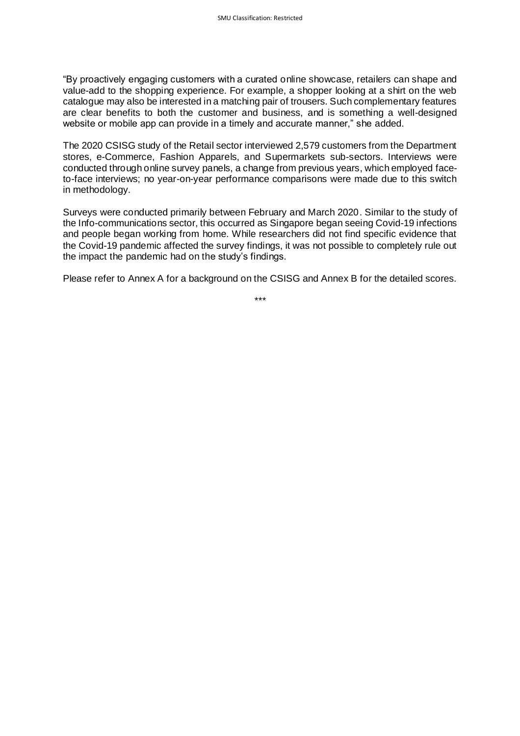"By proactively engaging customers with a curated online showcase, retailers can shape and value-add to the shopping experience. For example, a shopper looking at a shirt on the web catalogue may also be interested in a matching pair of trousers. Such complementary features are clear benefits to both the customer and business, and is something a well-designed website or mobile app can provide in a timely and accurate manner," she added.

The 2020 CSISG study of the Retail sector interviewed 2,579 customers from the Department stores, e-Commerce, Fashion Apparels, and Supermarkets sub-sectors. Interviews were conducted through online survey panels, a change from previous years, which employed faceto-face interviews; no year-on-year performance comparisons were made due to this switch in methodology.

Surveys were conducted primarily between February and March 2020. Similar to the study of the Info-communications sector, this occurred as Singapore began seeing Covid-19 infections and people began working from home. While researchers did not find specific evidence that the Covid-19 pandemic affected the survey findings, it was not possible to completely rule out the impact the pandemic had on the study's findings.

Please refer to Annex A for a background on the CSISG and Annex B for the detailed scores.

\*\*\*